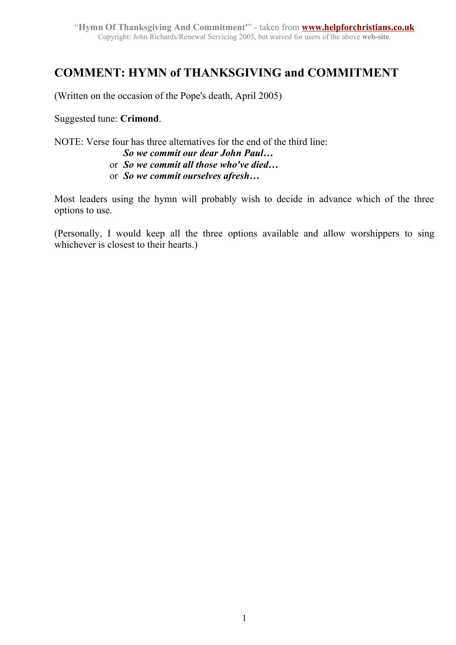## **COMMENT: HYMN of THANKSGIVING and COMMITMENT**

(Written on the occasion of the Pope's death, April 2005)

Suggested tune: **Crimond**.

NOTE: Verse four has three alternatives for the end of the third line:

- *So we commit our dear John Paul…* or *So we commit all those who've died…*
- or *So we commit ourselves afresh…*

Most leaders using the hymn will probably wish to decide in advance which of the three options to use.

(Personally, I would keep all the three options available and allow worshippers to sing whichever is closest to their hearts.)